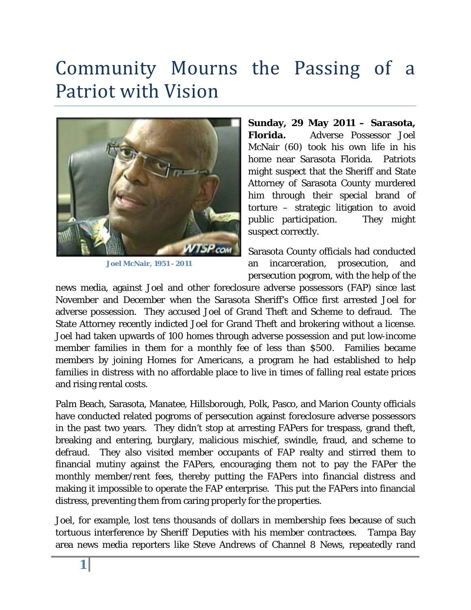## Community Mourns the Passing of a Patriot with Vision



**Joel McNair, 1951 - 2011**

**Sunday, 29 May 2011 – Sarasota, Florida.** Adverse Possessor Joel McNair (60) took his own life in his home near Sarasota Florida. Patriots might suspect that the Sheriff and State Attorney of Sarasota County murdered him through their special brand of torture – strategic litigation to avoid public participation. They might suspect correctly.

Sarasota County officials had conducted an incarceration, prosecution, and persecution pogrom, with the help of the

news media, against Joel and other foreclosure adverse possessors (FAP) since last November and December when the Sarasota Sheriff's Office first arrested Joel for adverse possession. They accused Joel of Grand Theft and Scheme to defraud. The State Attorney recently indicted Joel for Grand Theft and brokering without a license. Joel had taken upwards of 100 homes through adverse possession and put low-income member families in them for a monthly fee of less than \$500. Families became members by joining Homes for Americans, a program he had established to help families in distress with no affordable place to live in times of falling real estate prices and rising rental costs.

Palm Beach, Sarasota, Manatee, Hillsborough, Polk, Pasco, and Marion County officials have conducted related pogroms of persecution against foreclosure adverse possessors in the past two years. They didn't stop at arresting FAPers for trespass, grand theft, breaking and entering, burglary, malicious mischief, swindle, fraud, and scheme to defraud. They also visited member occupants of FAP realty and stirred them to financial mutiny against the FAPers, encouraging them not to pay the FAPer the monthly member/rent fees, thereby putting the FAPers into financial distress and making it impossible to operate the FAP enterprise. This put the FAPers into financial distress, preventing them from caring properly for the properties.

Joel, for example, lost tens thousands of dollars in membership fees because of such tortuous interference by Sheriff Deputies with his member contractees. Tampa Bay area news media reporters like Steve Andrews of Channel 8 News, repeatedly rand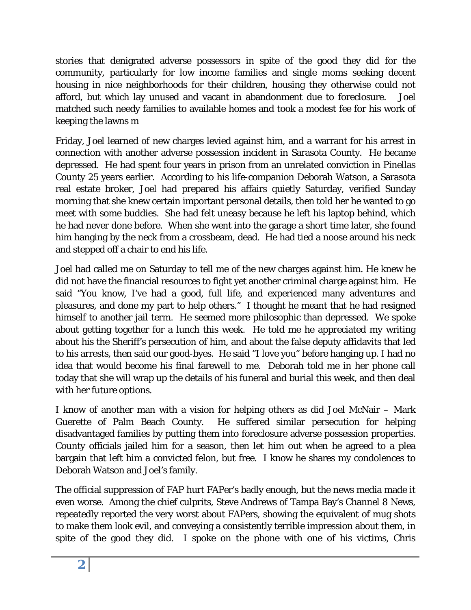stories that denigrated adverse possessors in spite of the good they did for the community, particularly for low income families and single moms seeking decent housing in nice neighborhoods for their children, housing they otherwise could not afford, but which lay unused and vacant in abandonment due to foreclosure. Joel matched such needy families to available homes and took a modest fee for his work of keeping the lawns m

Friday, Joel learned of new charges levied against him, and a warrant for his arrest in connection with another adverse possession incident in Sarasota County. He became depressed. He had spent four years in prison from an unrelated conviction in Pinellas County 25 years earlier. According to his life-companion Deborah Watson, a Sarasota real estate broker, Joel had prepared his affairs quietly Saturday, verified Sunday morning that she knew certain important personal details, then told her he wanted to go meet with some buddies. She had felt uneasy because he left his laptop behind, which he had never done before. When she went into the garage a short time later, she found him hanging by the neck from a crossbeam, dead. He had tied a noose around his neck and stepped off a chair to end his life.

Joel had called me on Saturday to tell me of the new charges against him. He knew he did not have the financial resources to fight yet another criminal charge against him. He said "You know, I've had a good, full life, and experienced many adventures and pleasures, and done my part to help others." I thought he meant that he had resigned himself to another jail term. He seemed more philosophic than depressed. We spoke about getting together for a lunch this week. He told me he appreciated my writing about his the Sheriff's persecution of him, and about the false deputy affidavits that led to his arrests, then said our good-byes. He said "I love you" before hanging up. I had no idea that would become his final farewell to me. Deborah told me in her phone call today that she will wrap up the details of his funeral and burial this week, and then deal with her future options.

I know of another man with a vision for helping others as did Joel McNair – Mark Guerette of Palm Beach County. He suffered similar persecution for helping disadvantaged families by putting them into foreclosure adverse possession properties. County officials jailed him for a season, then let him out when he agreed to a plea bargain that left him a convicted felon, but free. I know he shares my condolences to Deborah Watson and Joel's family.

The official suppression of FAP hurt FAPer's badly enough, but the news media made it even worse. Among the chief culprits, Steve Andrews of Tampa Bay's Channel 8 News, repeatedly reported the very worst about FAPers, showing the equivalent of mug shots to make them look evil, and conveying a consistently terrible impression about them, in spite of the good they did. I spoke on the phone with one of his victims, Chris